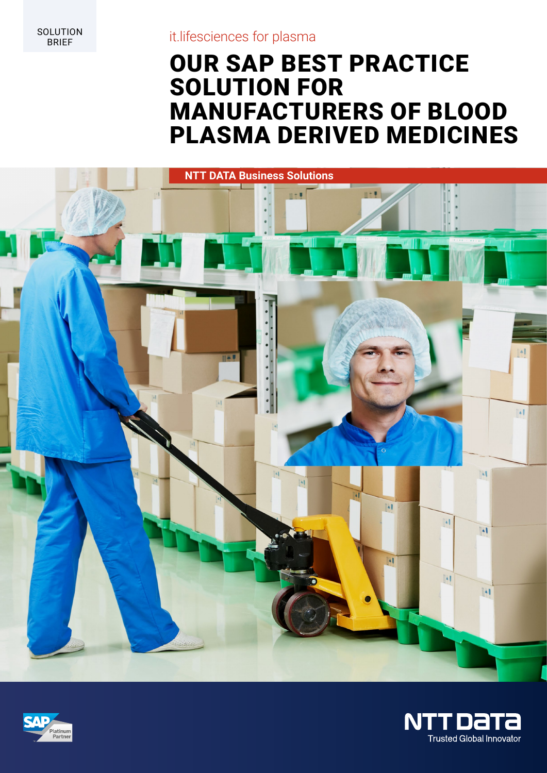SOLUTION<br>BRIEF

## it.lifesciences for plasma

# OUR SAP BEST PRACTICE SOLUTION FOR MANUFACTURERS OF BLOOD PLASMA DERIVED MEDICINES





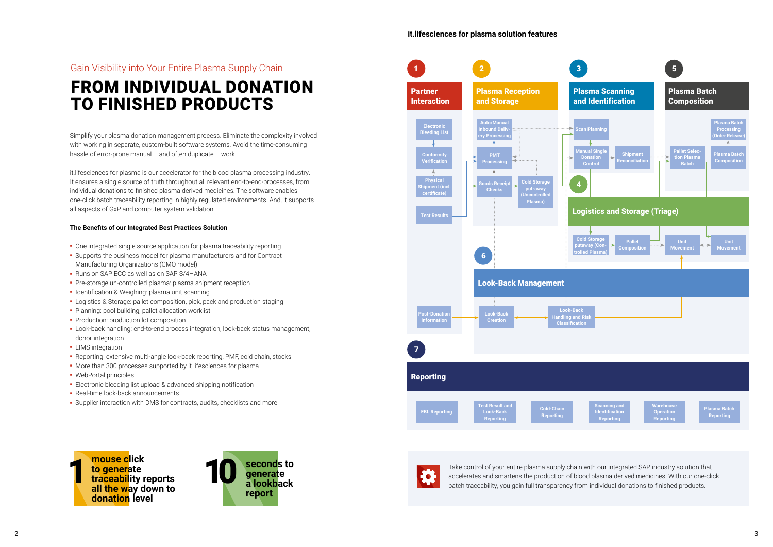# Gain Visibility into Your Entire Plasma Supply Chain FROM INDIVIDUAL DONATION TO FINISHED PRODUCTS

Simplify your plasma donation management process. Eliminate the complexity involved with working in separate, custom-built software systems. Avoid the time-consuming hassle of error-prone manual – and often duplicate – work.

it.lifesciences for plasma is our accelerator for the blood plasma processing industry. It ensures a single source of truth throughout all relevant end-to-end-processes, from individual donations to finished plasma derived medicines. The software enables one-click batch traceability reporting in highly regulated environments. And, it supports all aspects of GxP and computer system validation.

### **The Benefits of our Integrated Best Practices Solution**

**1 Take control of your entire plasma supply chain with our integrated SAP industry solution that<br>
1 Take control of your entire plasma supply chain with our integrated SAP industry solution that<br>
<b>1 Take control of your e** accelerates and smartens the production of blood plasma derived medicines. With our one-click batch traceability, you gain full transparency from individual donations to finished products.

- **-** One integrated single source application for plasma traceability reporting
- **-** Supports the business model for plasma manufacturers and for Contract Manufacturing Organizations (CMO model)
- **-** Runs on SAP ECC as well as on SAP S/4HANA
- **-** Pre-storage un-controlled plasma: plasma shipment reception
- **-** Identification & Weighing: plasma unit scanning
- **-** Logistics & Storage: pallet composition, pick, pack and production staging
- **-** Planning: pool building, pallet allocation worklist
- **-** Production: production lot composition
- **-** Look-back handling: end-to-end process integration, look-back status management, donor integration
- **-** LIMS integration
- **-** Reporting: extensive multi-angle look-back reporting, PMF, cold chain, stocks
- **-** More than 300 processes supported by it.lifesciences for plasma
- **-** WebPortal principles
- **-** Electronic bleeding list upload & advanced shipping notification
- **-** Real-time look-back announcements
- **-** Supplier interaction with DMS for contracts, audits, checklists and more









## **it.lifesciences for plasma solution features**